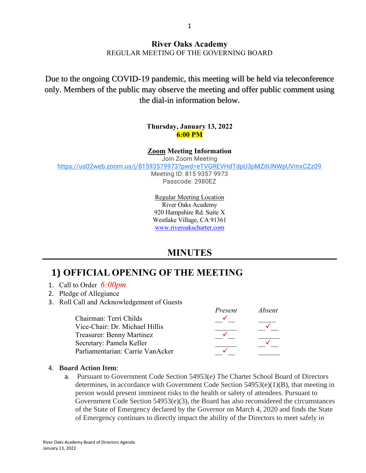### **River Oaks Academy** REGULAR MEETING OF THE GOVERNING BOARD

Due to the ongoing COVID-19 pandemic, this meeting will be held via teleconference only. Members of the public may observe the meeting and offer public comment using the dial-in information below.

#### **Thursday, January 13, 2022 6:00 PM**

#### **Zoom Meeting Information**

Join Zoom Meeting

<https://us02web.zoom.us/j/81593579973?pwd=eTVGREVHdTdpU3pMZitUNWpUVmxCZz09>

Meeting ID: 815 9357 9973 Passcode: 2980EZ

Regular Meeting Location River Oaks Academy 920 Hampshire Rd. Suite X Westlake Village, CA 91361 [www.riveroakscharter.com](http://www.riveroakscharter.com/)

### **MINUTES**

# **1) OFFICIAL OPENING OF THE MEETING**

- 1. Call to Order *6:00pm*
- 2. Pledge of Allegiance
- 3. Roll Call and Acknowledgement of Guests

|                                  | <i><u>I IPNPIII</u></i> | ADSENI |
|----------------------------------|-------------------------|--------|
| Chairman: Terri Childs           |                         |        |
| Vice-Chair: Dr. Michael Hillis   |                         |        |
| Treasurer: Benny Martinez        |                         |        |
| Secretary: Pamela Keller         |                         |        |
| Parliamentarian: Carrie VanAcker |                         |        |

#### 4. **Board Action Item**:

a. Pursuant to Government Code Section 54953(e) The Charter School Board of Directors determines, in accordance with Government Code Section  $54953(e)(1)(B)$ , that meeting in person would present imminent risks to the health or safety of attendees. Pursuant to Government Code Section 54953(e)(3), the Board has also reconsidered the circumstances of the State of Emergency declared by the Governor on March 4, 2020 and finds the State of Emergency continues to directly impact the ability of the Directors to meet safely in

*Present Absent*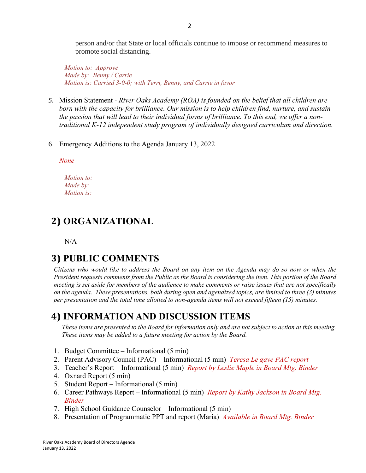person and/or that State or local officials continue to impose or recommend measures to promote social distancing.

*Motion to: Approve Made by: Benny / Carrie Motion is: Carried 3-0-0; with Terri, Benny, and Carrie in favor*

- *5.* Mission Statement *River Oaks Academy (ROA) is founded on the belief that all children are born with the capacity for brilliance. Our mission is to help children find, nurture, and sustain the passion that will lead to their individual forms of brilliance. To this end, we offer a nontraditional K-12 independent study program of individually designed curriculum and direction.*
- 6. Emergency Additions to the Agenda January 13, 2022

*None*

*Motion to: Made by: Motion is:*

## **2) ORGANIZATIONAL**

N/A

### **3) PUBLIC COMMENTS**

*Citizens who would like to address the Board on any item on the Agenda may do so now or when the President requests comments from the Public as the Board is considering the item. This portion of the Board meeting is set aside for members of the audience to make comments or raise issues that are not specifically on the agenda. These presentations, both during open and agendized topics, are limited to three (3) minutes per presentation and the total time allotted to non-agenda items will not exceed fifteen (15) minutes.*

### **4) INFORMATION AND DISCUSSION ITEMS**

*These items are presented to the Board for information only and are not subject to action at this meeting. These items may be added to a future meeting for action by the Board.*

- 1. Budget Committee Informational (5 min)
- 2. Parent Advisory Council (PAC) Informational (5 min) *Teresa Le gave PAC report*
- 3. Teacher's Report Informational (5 min) *Report by Leslie Maple in Board Mtg. Binder*
- 4. Oxnard Report (5 min)
- 5. Student Report Informational (5 min)
- 6. Career Pathways Report Informational (5 min) *Report by Kathy Jackson in Board Mtg. Binder*
- 7. High School Guidance Counselor—Informational (5 min)
- 8. Presentation of Programmatic PPT and report (Maria) *Available in Board Mtg. Binder*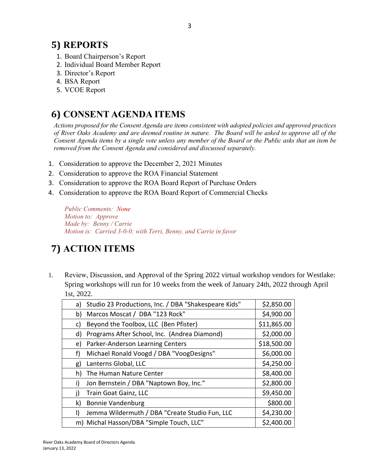## **5) REPORTS**

- 1. Board Chairperson's Report
- 2. Individual Board Member Report
- 3. Director's Report
- 4. BSA Report
- 5. VCOE Report

# **6) CONSENT AGENDA ITEMS**

*Actions proposed for the Consent Agenda are items consistent with adopted policies and approved practices of River Oaks Academy and are deemed routine in nature. The Board will be asked to approve all of the Consent Agenda items by a single vote unless any member of the Board or the Public asks that an item be removed from the Consent Agenda and considered and discussed separately.*

- 1. Consideration to approve the December 2, 2021 Minutes
- 2. Consideration to approve the ROA Financial Statement
- 3. Consideration to approve the ROA Board Report of Purchase Orders
- 4. Consideration to approve the ROA Board Report of Commercial Checks

*Public Comments: None Motion to: Approve Made by: Benny / Carrie Motion is: Carried 3-0-0; with Terri, Benny, and Carrie in favor*

# **7) ACTION ITEMS**

1. Review, Discussion, and Approval of the Spring 2022 virtual workshop vendors for Westlake: Spring workshops will run for 10 weeks from the week of January 24th, 2022 through April 1st, 2022.

| a) | Studio 23 Productions, Inc. / DBA "Shakespeare Kids" | \$2,850.00  |
|----|------------------------------------------------------|-------------|
| b) | Marcos Moscat / DBA "123 Rock"                       | \$4,900.00  |
| C) | Beyond the Toolbox, LLC (Ben Pfister)                | \$11,865.00 |
| d) | Programs After School, Inc. (Andrea Diamond)         | \$2,000.00  |
| e) | Parker-Anderson Learning Centers                     | \$18,500.00 |
| f) | Michael Ronald Voogd / DBA "VoogDesigns"             | \$6,000.00  |
| g) | Lanterns Global, LLC                                 | \$4,250.00  |
| h) | The Human Nature Center                              | \$8,400.00  |
| i) | Jon Bernstein / DBA "Naptown Boy, Inc."              | \$2,800.00  |
| i) | Train Goat Gainz, LLC                                | \$9,450.00  |
| k) | <b>Bonnie Vandenburg</b>                             | \$800.00    |
| I) | Jemma Wildermuth / DBA "Create Studio Fun, LLC       | \$4,230.00  |
|    | m) Michal Hasson/DBA "Simple Touch, LLC"             | \$2,400.00  |
|    |                                                      |             |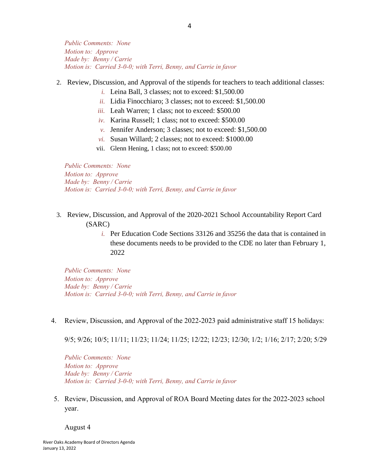#### 2. Review, Discussion, and Approval of the stipends for teachers to teach additional classes:

- *i.* Leina Ball, 3 classes; not to exceed: \$1,500.00
- *ii.* Lidia Finocchiaro; 3 classes; not to exceed: \$1,500.00
- *iii.* Leah Warren; 1 class; not to exceed: \$500.00
- *iv.* Karina Russell; 1 class; not to exceed: \$500.00
- *v.* Jennifer Anderson; 3 classes; not to exceed: \$1,500.00
- *vi.* Susan Willard; 2 classes; not to exceed: \$1000.00
- vii. Glenn Hening, 1 class; not to exceed: \$500.00

*Public Comments: None Motion to: Approve Made by: Benny / Carrie Motion is: Carried 3-0-0; with Terri, Benny, and Carrie in favor*

- 3. Review, Discussion, and Approval of the 2020-2021 School Accountability Report Card (SARC)
	- *i.* Per Education Code Sections 33126 and 35256 the data that is contained in these documents needs to be provided to the CDE no later than February 1, 2022

*Public Comments: None Motion to: Approve Made by: Benny / Carrie Motion is: Carried 3-0-0; with Terri, Benny, and Carrie in favor*

4. Review, Discussion, and Approval of the 2022-2023 paid administrative staff 15 holidays:

9/5; 9/26; 10/5; 11/11; 11/23; 11/24; 11/25; 12/22; 12/23; 12/30; 1/2; 1/16; 2/17; 2/20; 5/29

*Public Comments: None Motion to: Approve Made by: Benny / Carrie Motion is: Carried 3-0-0; with Terri, Benny, and Carrie in favor*

5. Review, Discussion, and Approval of ROA Board Meeting dates for the 2022-2023 school year.

August 4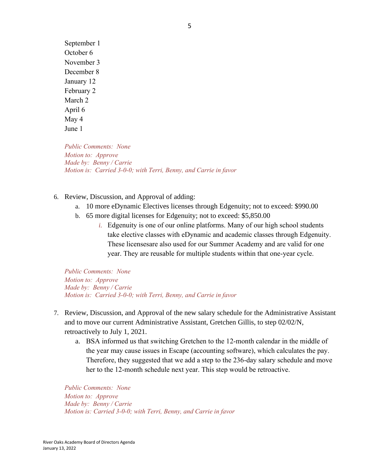September 1 October 6 November 3 December 8 January 12 February 2 March 2 April 6 May 4 June 1

*Public Comments: None Motion to: Approve Made by: Benny / Carrie Motion is: Carried 3-0-0; with Terri, Benny, and Carrie in favor*

- 6. Review, Discussion, and Approval of adding:
	- a. 10 more eDynamic Electives licenses through Edgenuity; not to exceed: \$990.00
	- b. 65 more digital licenses for Edgenuity; not to exceed: \$5,850.00
		- *i.* Edgenuity is one of our online platforms. Many of our high school students take elective classes with eDynamic and academic classes through Edgenuity. These licensesare also used for our Summer Academy and are valid for one year. They are reusable for multiple students within that one-year cycle.

*Public Comments: None Motion to: Approve Made by: Benny / Carrie Motion is: Carried 3-0-0; with Terri, Benny, and Carrie in favor*

- 7. Review, Discussion, and Approval of the new salary schedule for the Administrative Assistant and to move our current Administrative Assistant, Gretchen Gillis, to step 02/02/N, retroactively to July 1, 2021.
	- a. BSA informed us that switching Gretchen to the 12-month calendar in the middle of the year may cause issues in Escape (accounting software), which calculates the pay. Therefore, they suggested that we add a step to the 236-day salary schedule and move her to the 12-month schedule next year. This step would be retroactive.

*Public Comments: None Motion to: Approve Made by: Benny / Carrie Motion is: Carried 3-0-0; with Terri, Benny, and Carrie in favor*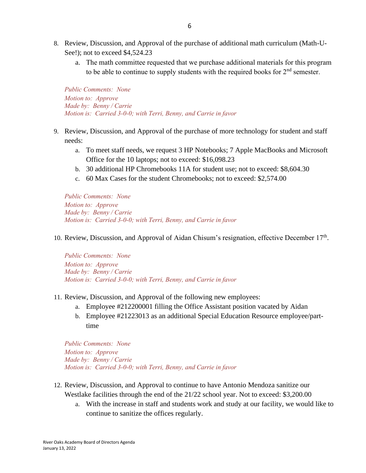- 8. Review, Discussion, and Approval of the purchase of additional math curriculum (Math-U-See!); not to exceed \$4,524.23
	- a. The math committee requested that we purchase additional materials for this program to be able to continue to supply students with the required books for  $2<sup>nd</sup>$  semester.

- 9. Review, Discussion, and Approval of the purchase of more technology for student and staff needs:
	- a. To meet staff needs, we request 3 HP Notebooks; 7 Apple MacBooks and Microsoft Office for the 10 laptops; not to exceed: \$16,098.23
	- b. 30 additional HP Chromebooks 11A for student use; not to exceed: \$8,604.30
	- c. 60 Max Cases for the student Chromebooks; not to exceed: \$2,574.00

*Public Comments: None Motion to: Approve Made by: Benny / Carrie Motion is: Carried 3-0-0; with Terri, Benny, and Carrie in favor*

#### 10. Review, Discussion, and Approval of Aidan Chisum's resignation, effective December  $17<sup>th</sup>$ .

*Public Comments: None Motion to: Approve Made by: Benny / Carrie Motion is: Carried 3-0-0; with Terri, Benny, and Carrie in favor*

- 11. Review, Discussion, and Approval of the following new employees:
	- a. Employee #212200001 filling the Office Assistant position vacated by Aidan
	- b. Employee #21223013 as an additional Special Education Resource employee/parttime

*Public Comments: None Motion to: Approve Made by: Benny / Carrie Motion is: Carried 3-0-0; with Terri, Benny, and Carrie in favor*

- 12. Review, Discussion, and Approval to continue to have Antonio Mendoza sanitize our Westlake facilities through the end of the 21/22 school year. Not to exceed: \$3,200.00
	- a. With the increase in staff and students work and study at our facility, we would like to continue to sanitize the offices regularly.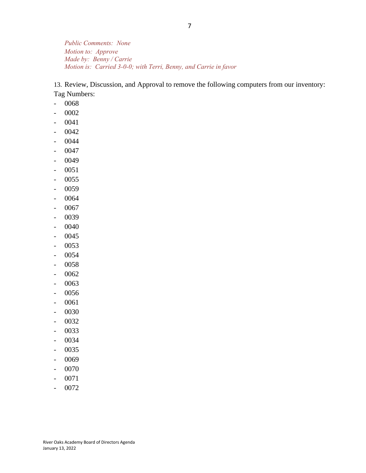13. Review, Discussion, and Approval to remove the following computers from our inventory: Tag Numbers:

- 0068
- 0002
- 0041
- 0042
- 0044
- 0047
- 0049
- 0051
- 0055
- 0059
- 0064
- 0067
- 0039
- 0040
- 0045
- 0053
- 0054
- 0058
- 0062
- 0063
- 0056
- 0061
- 0030
- 0032
- 0033
- 0034
- 0035
- 0069
- 0070
- 0071
- 0072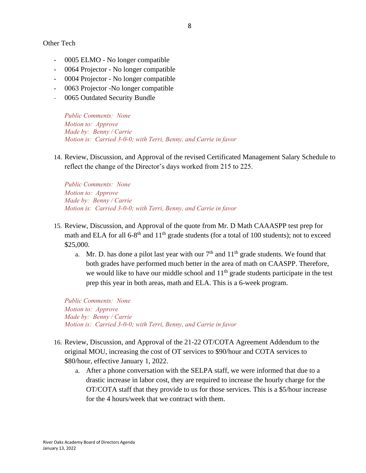Other Tech

- 0005 ELMO No longer compatible
- 0064 Projector No longer compatible
- 0004 Projector No longer compatible
- 0063 Projector -No longer compatible
- 0065 Outdated Security Bundle

*Public Comments: None Motion to: Approve Made by: Benny / Carrie Motion is: Carried 3-0-0; with Terri, Benny, and Carrie in favor*

14. Review, Discussion, and Approval of the revised Certificated Management Salary Schedule to reflect the change of the Director's days worked from 215 to 225.

*Public Comments: None Motion to: Approve Made by: Benny / Carrie Motion is: Carried 3-0-0; with Terri, Benny, and Carrie in favor*

- 15. Review, Discussion, and Approval of the quote from Mr. D Math CAAASPP test prep for math and ELA for all  $6-8$ <sup>th</sup> and  $11$ <sup>th</sup> grade students (for a total of 100 students); not to exceed \$25,000.
	- a. Mr. D. has done a pilot last year with our  $7<sup>th</sup>$  and  $11<sup>th</sup>$  grade students. We found that both grades have performed much better in the area of math on CAASPP. Therefore, we would like to have our middle school and  $11<sup>th</sup>$  grade students participate in the test prep this year in both areas, math and ELA. This is a 6-week program.

*Public Comments: None Motion to: Approve Made by: Benny / Carrie Motion is: Carried 3-0-0; with Terri, Benny, and Carrie in favor*

- 16. Review, Discussion, and Approval of the 21-22 OT/COTA Agreement Addendum to the original MOU, increasing the cost of OT services to \$90/hour and COTA services to \$80/hour, effective January 1, 2022.
	- a. After a phone conversation with the SELPA staff, we were informed that due to a drastic increase in labor cost, they are required to increase the hourly charge for the OT/COTA staff that they provide to us for those services. This is a \$5/hour increase for the 4 hours/week that we contract with them.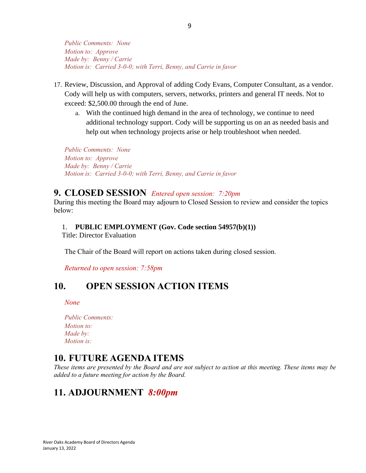- 17. Review, Discussion, and Approval of adding Cody Evans, Computer Consultant, as a vendor. Cody will help us with computers, servers, networks, printers and general IT needs. Not to exceed: \$2,500.00 through the end of June.
	- a. With the continued high demand in the area of technology, we continue to need additional technology support. Cody will be supporting us on an as needed basis and help out when technology projects arise or help troubleshoot when needed.

*Public Comments: None Motion to: Approve Made by: Benny / Carrie Motion is: Carried 3-0-0; with Terri, Benny, and Carrie in favor*

### **9. CLOSED SESSION** *Entered open session: 7:20pm*

During this meeting the Board may adjourn to Closed Session to review and consider the topics below:

#### 1. **PUBLIC EMPLOYMENT (Gov. Code section 54957(b)(1))**

Title: Director Evaluation

The Chair of the Board will report on actions taken during closed session.

*Returned to open session: 7:58pm*

### **10. OPEN SESSION ACTION ITEMS**

*None*

| <b>Public Comments:</b> |
|-------------------------|
| <i>Motion to:</i>       |
| Made by:                |
| <i>Motion is:</i>       |

### **10. FUTURE AGENDA ITEMS**

*These items are presented by the Board and are not subject to action at this meeting. These items may be added to a future meeting for action by the Board.*

# **11. ADJOURNMENT** *8:00pm*